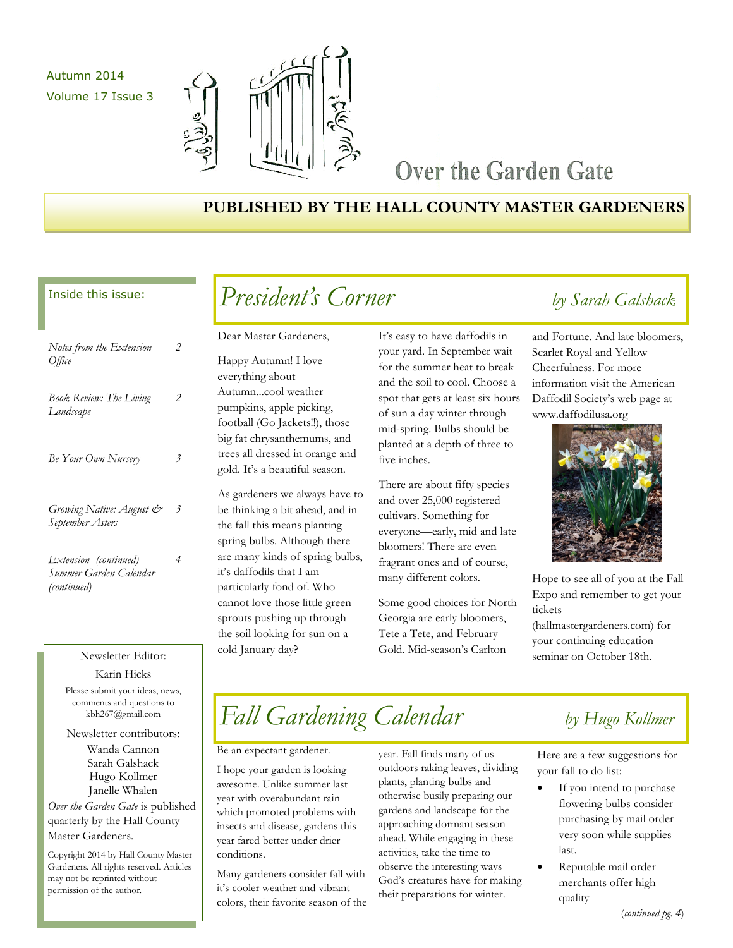Autumn 2014 Volume 17 Issue 3



## Over the Garden Gate

## **PUBLISHED BY THE HALL COUNTY MASTER GARDENERS**

### Inside this issue:

| Notes from the Extension<br>Office                             | 2 |
|----------------------------------------------------------------|---|
| <b>Book Review: The Living</b><br>Landscape                    | 2 |
| Be Your Own Nursery                                            | 3 |
| Growing Native: August &<br>September Asters                   | 3 |
| Extension (continued)<br>Summer Garden Calendar<br>(continued) | 4 |

### Karin Hicks

Please submit your ideas, news, comments and questions to kbh267@gmail.com

Newsletter contributors:

Wanda Cannon Sarah Galshack Hugo Kollmer Janelle Whalen

*Over the Garden Gate* is published quarterly by the Hall County Master Gardeners.

Copyright 2014 by Hall County Master Gardeners. All rights reserved. Articles may not be reprinted without permission of the author.

# *President's Corner by Sarah Galshack*

Dear Master Gardeners,

Happy Autumn! I love everything about Autumn...cool weather pumpkins, apple picking, football (Go Jackets!!), those big fat chrysanthemums, and trees all dressed in orange and gold. It's a beautiful season.

As gardeners we always have to be thinking a bit ahead, and in the fall this means planting spring bulbs. Although there are many kinds of spring bulbs, it's daffodils that I am particularly fond of. Who cannot love those little green sprouts pushing up through the soil looking for sun on a cold January day?

It's easy to have daffodils in your yard. In September wait for the summer heat to break and the soil to cool. Choose a spot that gets at least six hours of sun a day winter through mid-spring. Bulbs should be planted at a depth of three to five inches.

There are about fifty species and over 25,000 registered cultivars. Something for everyone—early, mid and late bloomers! There are even fragrant ones and of course, many different colors.

Some good choices for North Georgia are early bloomers, Tete a Tete, and February Gold. Mid-season's Carlton

and Fortune. And late bloomers, Scarlet Royal and Yellow Cheerfulness. For more information visit the American Daffodil Society's web page at www.daffodilusa.org



Hope to see all of you at the Fall Expo and remember to get your tickets

(hallmastergardeners.com) for your continuing education Newsletter Editor: Cold January day? Cold. Mid-season's Carlton seminar on October 18th.

# *Fall Gardening Calendar by Hugo Kollmer*

Be an expectant gardener.

I hope your garden is looking awesome. Unlike summer last year with overabundant rain which promoted problems with insects and disease, gardens this year fared better under drier conditions.

Many gardeners consider fall with it's cooler weather and vibrant colors, their favorite season of the year. Fall finds many of us outdoors raking leaves, dividing plants, planting bulbs and otherwise busily preparing our gardens and landscape for the approaching dormant season ahead. While engaging in these activities, take the time to observe the interesting ways God's creatures have for making their preparations for winter.

Here are a few suggestions for your fall to do list:

- If you intend to purchase flowering bulbs consider purchasing by mail order very soon while supplies last.
- Reputable mail order merchants offer high quality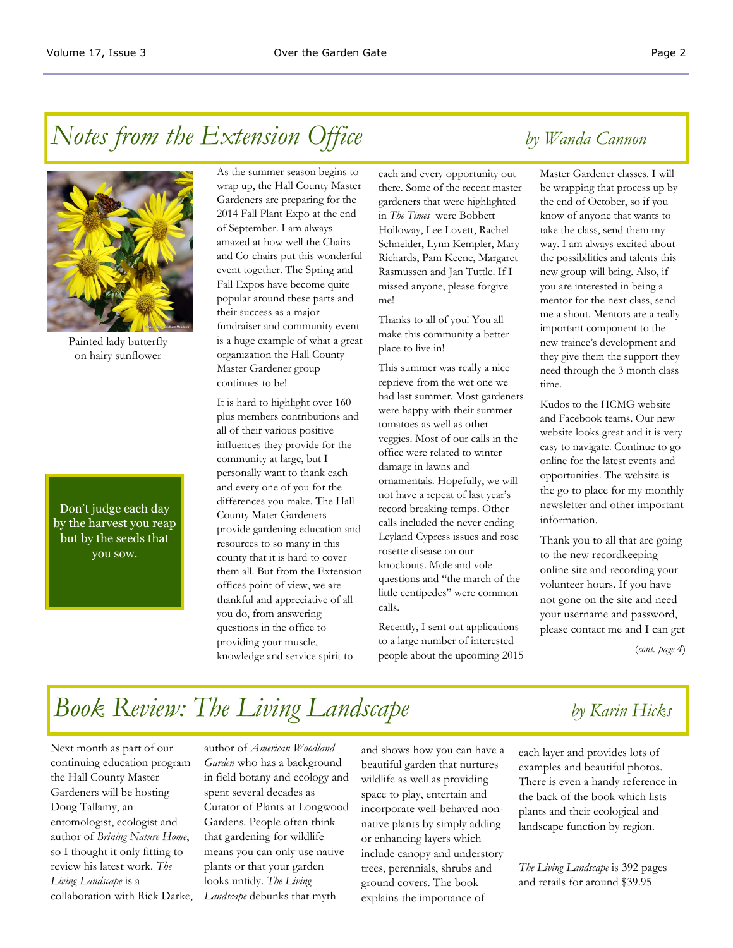# *Notes from the Extension Office by Wanda Cannon*



Painted lady butterfly on hairy sunflower

Don't judge each day by the harvest you reap but by the seeds that you sow.

As the summer season begins to wrap up, the Hall County Master Gardeners are preparing for the 2014 Fall Plant Expo at the end of September. I am always amazed at how well the Chairs and Co-chairs put this wonderful event together. The Spring and Fall Expos have become quite popular around these parts and their success as a major fundraiser and community event is a huge example of what a great organization the Hall County Master Gardener group continues to be!

It is hard to highlight over 160 plus members contributions and all of their various positive influences they provide for the community at large, but I personally want to thank each and every one of you for the differences you make. The Hall County Mater Gardeners provide gardening education and resources to so many in this county that it is hard to cover them all. But from the Extension offices point of view, we are thankful and appreciative of all you do, from answering questions in the office to providing your muscle, knowledge and service spirit to

each and every opportunity out there. Some of the recent master gardeners that were highlighted in *The Times* were Bobbett Holloway, Lee Lovett, Rachel Schneider, Lynn Kempler, Mary Richards, Pam Keene, Margaret Rasmussen and Jan Tuttle. If I missed anyone, please forgive me!

Thanks to all of you! You all make this community a better place to live in!

This summer was really a nice reprieve from the wet one we had last summer. Most gardeners were happy with their summer tomatoes as well as other veggies. Most of our calls in the office were related to winter damage in lawns and ornamentals. Hopefully, we will not have a repeat of last year's record breaking temps. Other calls included the never ending Leyland Cypress issues and rose rosette disease on our knockouts. Mole and vole questions and "the march of the little centipedes" were common calls.

Recently, I sent out applications to a large number of interested people about the upcoming 2015

Master Gardener classes. I will be wrapping that process up by the end of October, so if you know of anyone that wants to take the class, send them my way. I am always excited about the possibilities and talents this new group will bring. Also, if you are interested in being a mentor for the next class, send me a shout. Mentors are a really important component to the new trainee's development and they give them the support they need through the 3 month class time.

Kudos to the HCMG website and Facebook teams. Our new website looks great and it is very easy to navigate. Continue to go online for the latest events and opportunities. The website is the go to place for my monthly newsletter and other important information.

Thank you to all that are going to the new recordkeeping online site and recording your volunteer hours. If you have not gone on the site and need your username and password, please contact me and I can get

(*cont. page 4*)

# *Book Review: The Living Landscape by Karin Hicks*

Next month as part of our continuing education program the Hall County Master Gardeners will be hosting Doug Tallamy, an entomologist, ecologist and author of *Brining Nature Home*, so I thought it only fitting to review his latest work. *The Living Landscape* is a collaboration with Rick Darke,

author of *American Woodland Garden* who has a background in field botany and ecology and spent several decades as Curator of Plants at Longwood Gardens. People often think that gardening for wildlife means you can only use native plants or that your garden looks untidy. *The Living Landscape* debunks that myth

and shows how you can have a beautiful garden that nurtures wildlife as well as providing space to play, entertain and incorporate well-behaved nonnative plants by simply adding or enhancing layers which include canopy and understory trees, perennials, shrubs and ground covers. The book explains the importance of

each layer and provides lots of examples and beautiful photos. There is even a handy reference in the back of the book which lists plants and their ecological and landscape function by region.

*The Living Landscape* is 392 pages and retails for around \$39.95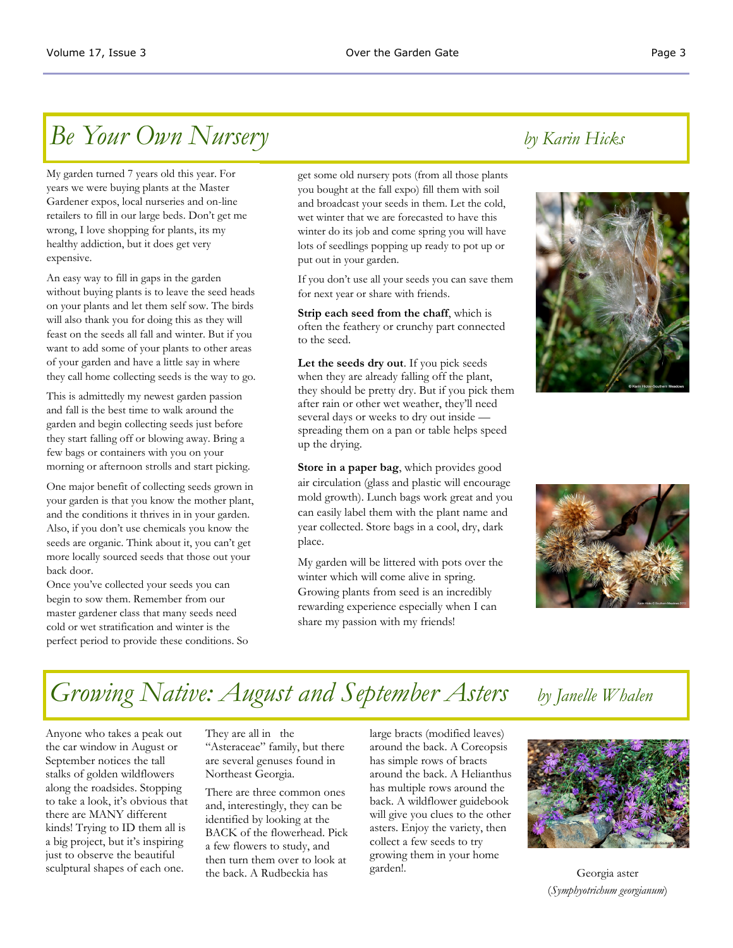## *Be Your Own Nursery by Karin Hicks*

My garden turned 7 years old this year. For years we were buying plants at the Master Gardener expos, local nurseries and on-line retailers to fill in our large beds. Don't get me wrong, I love shopping for plants, its my healthy addiction, but it does get very expensive.

An easy way to fill in gaps in the garden without buying plants is to leave the seed heads on your plants and let them self sow. The birds will also thank you for doing this as they will feast on the seeds all fall and winter. But if you want to add some of your plants to other areas of your garden and have a little say in where they call home collecting seeds is the way to go.

This is admittedly my newest garden passion and fall is the best time to walk around the garden and begin collecting seeds just before they start falling off or blowing away. Bring a few bags or containers with you on your morning or afternoon strolls and start picking.

One major benefit of collecting seeds grown in your garden is that you know the mother plant, and the conditions it thrives in in your garden. Also, if you don't use chemicals you know the seeds are organic. Think about it, you can't get more locally sourced seeds that those out your back door.

Once you've collected your seeds you can begin to sow them. Remember from our master gardener class that many seeds need cold or wet stratification and winter is the perfect period to provide these conditions. So get some old nursery pots (from all those plants you bought at the fall expo) fill them with soil and broadcast your seeds in them. Let the cold, wet winter that we are forecasted to have this winter do its job and come spring you will have lots of seedlings popping up ready to pot up or put out in your garden.

If you don't use all your seeds you can save them for next year or share with friends.

**Strip each seed from the chaff**, which is often the feathery or crunchy part connected to the seed.

**Let the seeds dry out**. If you pick seeds when they are already falling off the plant, they should be pretty dry. But if you pick them after rain or other wet weather, they'll need several days or weeks to dry out inside spreading them on a pan or table helps speed up the drying.

**Store in a paper bag**, which provides good air circulation (glass and plastic will encourage mold growth). Lunch bags work great and you can easily label them with the plant name and year collected. Store bags in a cool, dry, dark place.

My garden will be littered with pots over the winter which will come alive in spring. Growing plants from seed is an incredibly rewarding experience especially when I can share my passion with my friends!





## *Growing Native: August and September Asters by Janelle Whalen*

Anyone who takes a peak out the car window in August or September notices the tall stalks of golden wildflowers along the roadsides. Stopping to take a look, it's obvious that there are MANY different kinds! Trying to ID them all is a big project, but it's inspiring just to observe the beautiful sculptural shapes of each one.

They are all in the "Asteraceae" family, but there are several genuses found in Northeast Georgia.

There are three common ones and, interestingly, they can be identified by looking at the BACK of the flowerhead. Pick a few flowers to study, and then turn them over to look at the back. A Rudbeckia has

large bracts (modified leaves) around the back. A Coreopsis has simple rows of bracts around the back. A Helianthus has multiple rows around the back. A wildflower guidebook will give you clues to the other asters. Enjoy the variety, then collect a few seeds to try growing them in your home garden!.



Georgia aster (*Symphyotrichum georgianum*)